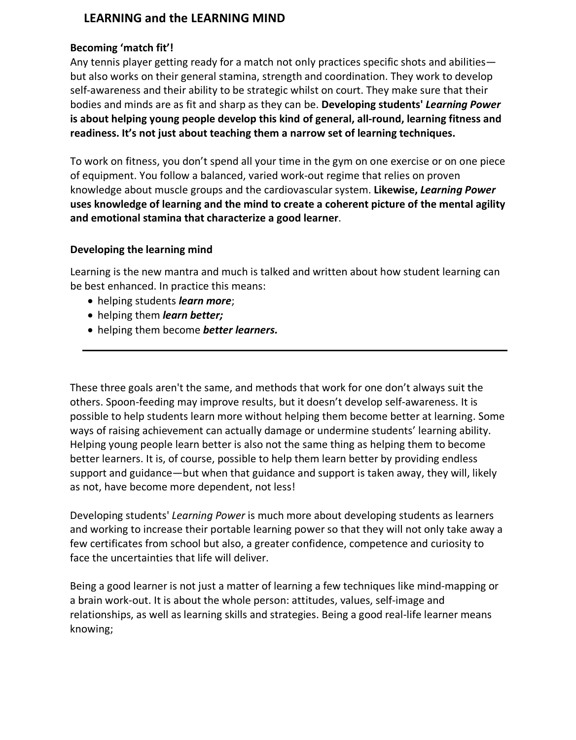## **LEARNING and the LEARNING MIND**

#### **Becoming 'match fit'!**

Any tennis player getting ready for a match not only practices specific shots and abilities but also works on their general stamina, strength and coordination. They work to develop self-awareness and their ability to be strategic whilst on court. They make sure that their bodies and minds are as fit and sharp as they can be. **Developing students'** *Learning Power* **is about helping young people develop this kind of general, all-round, learning fitness and readiness. It's not just about teaching them a narrow set of learning techniques.**

To work on fitness, you don't spend all your time in the gym on one exercise or on one piece of equipment. You follow a balanced, varied work-out regime that relies on proven knowledge about muscle groups and the cardiovascular system. **Likewise,** *Learning Power* **uses knowledge of learning and the mind to create a coherent picture of the mental agility and emotional stamina that characterize a good learner**.

#### **Developing the learning mind**

Learning is the new mantra and much is talked and written about how student learning can be best enhanced. In practice this means:

- helping students *learn more*;
- helping them *learn better;*
- helping them become *better learners.*

These three goals aren't the same, and methods that work for one don't always suit the others. Spoon-feeding may improve results, but it doesn't develop self-awareness. It is possible to help students learn more without helping them become better at learning. Some ways of raising achievement can actually damage or undermine students' learning ability. Helping young people learn better is also not the same thing as helping them to become better learners. It is, of course, possible to help them learn better by providing endless support and guidance—but when that guidance and support is taken away, they will, likely as not, have become more dependent, not less!

Developing students' *Learning Power* is much more about developing students as learners and working to increase their portable learning power so that they will not only take away a few certificates from school but also, a greater confidence, competence and curiosity to face the uncertainties that life will deliver.

Being a good learner is not just a matter of learning a few techniques like mind-mapping or a brain work-out. It is about the whole person: attitudes, values, self-image and relationships, as well as learning skills and strategies. Being a good real-life learner means knowing;